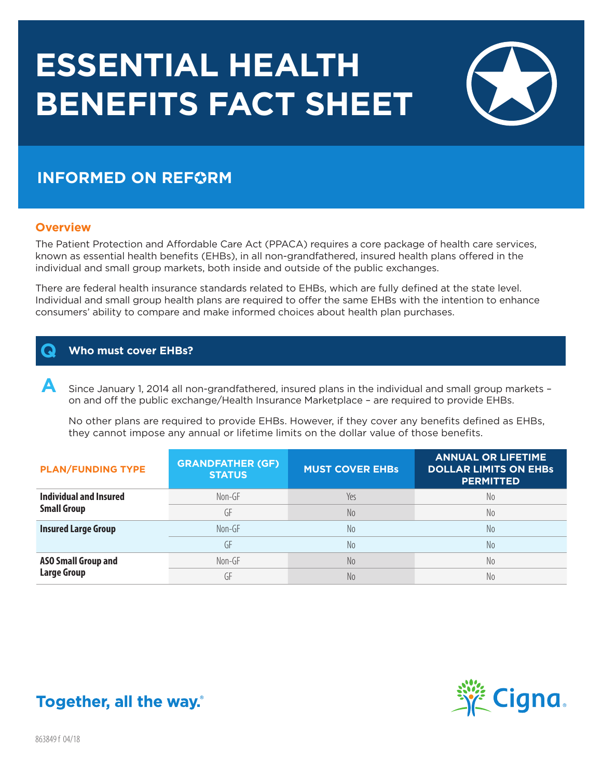# **ESSENTIAL HEALTH BENEFITS FACT SHEET**



# **INFORMED ON REFORM**

# **Overview**

The Patient Protection and Affordable Care Act (PPACA) requires a core package of health care services, known as essential health benefits (EHBs), in all non-grandfathered, insured health plans offered in the individual and small group markets, both inside and outside of the public exchanges.

There are federal health insurance standards related to EHBs, which are fully defined at the state level. Individual and small group health plans are required to offer the same EHBs with the intention to enhance consumers' ability to compare and make informed choices about health plan purchases.

# **Q Who must cover EHBs?**

 **A** Since January 1, 2014 all non-grandfathered, insured plans in the individual and small group markets – on and off the public exchange/Health Insurance Marketplace – are required to provide EHBs.

 No other plans are required to provide EHBs. However, if they cover any benefits defined as EHBs, they cannot impose any annual or lifetime limits on the dollar value of those benefits.

| <b>PLAN/FUNDING TYPE</b>                         | <b>GRANDFATHER (GF)</b><br><b>STATUS</b> | <b>MUST COVER EHBS</b> | <b>ANNUAL OR LIFETIME</b><br><b>DOLLAR LIMITS ON EHBS</b><br><b>PERMITTED</b> |
|--------------------------------------------------|------------------------------------------|------------------------|-------------------------------------------------------------------------------|
| Individual and Insured                           | Non-GF                                   | Yes                    | No.                                                                           |
| <b>Small Group</b>                               | GF                                       | No                     | No.                                                                           |
| <b>Insured Large Group</b>                       | $Non-GF$                                 | No                     | N <sub>0</sub>                                                                |
|                                                  | GF                                       | No                     | N <sub>0</sub>                                                                |
| <b>ASO Small Group and</b><br><b>Large Group</b> | Non-GF                                   | No                     | N <sub>0</sub>                                                                |
|                                                  | GF                                       | N <sub>o</sub>         | No                                                                            |



# Together, all the way.

863849 f 04/18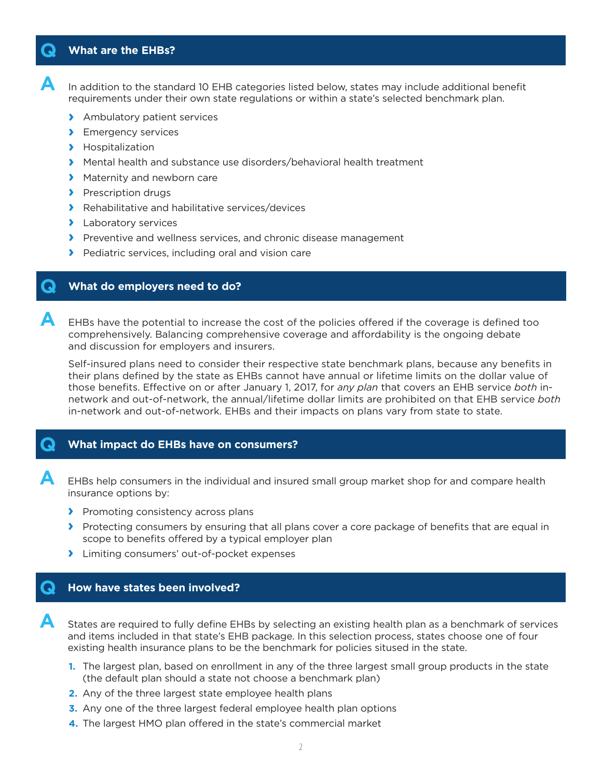### **Q What are the EHBs?**

**A** In addition to the standard 10 EHB categories listed below, states may include additional benefit requirements under their own state regulations or within a state's selected benchmark plan.

- **›** Ambulatory patient services
- **›** Emergency services
- **›** Hospitalization
- **›** Mental health and substance use disorders/behavioral health treatment
- **›** Maternity and newborn care
- **›** Prescription drugs
- **›** Rehabilitative and habilitative services/devices
- **›** Laboratory services
- **›** Preventive and wellness services, and chronic disease management
- **›** Pediatric services, including oral and vision care

#### **Q What do employers need to do?**

**A** EHBs have the potential to increase the cost of the policies offered if the coverage is defined too comprehensively. Balancing comprehensive coverage and affordability is the ongoing debate and discussion for employers and insurers.

 Self-insured plans need to consider their respective state benchmark plans, because any benefits in their plans defined by the state as EHBs cannot have annual or lifetime limits on the dollar value of those benefits. Effective on or after January 1, 2017, for *any plan* that covers an EHB service *both* innetwork and out-of-network, the annual/lifetime dollar limits are prohibited on that EHB service *both* in-network and out-of-network. EHBs and their impacts on plans vary from state to state.

#### **Q What impact do EHBs have on consumers?**

**A** EHBs help consumers in the individual and insured small group market shop for and compare health insurance options by:

- **›** Promoting consistency across plans
- **›** Protecting consumers by ensuring that all plans cover a core package of benefits that are equal in scope to benefits offered by a typical employer plan
- **›** Limiting consumers' out-of-pocket expenses

#### **Q How have states been involved?**

**A** States are required to fully define EHBs by selecting an existing health plan as a benchmark of services and items included in that state's EHB package. In this selection process, states choose one of four existing health insurance plans to be the benchmark for policies sitused in the state.

- **1.** The largest plan, based on enrollment in any of the three largest small group products in the state (the default plan should a state not choose a benchmark plan)
- **2.** Any of the three largest state employee health plans
- **3.** Any one of the three largest federal employee health plan options
- **4.** The largest HMO plan offered in the state's commercial market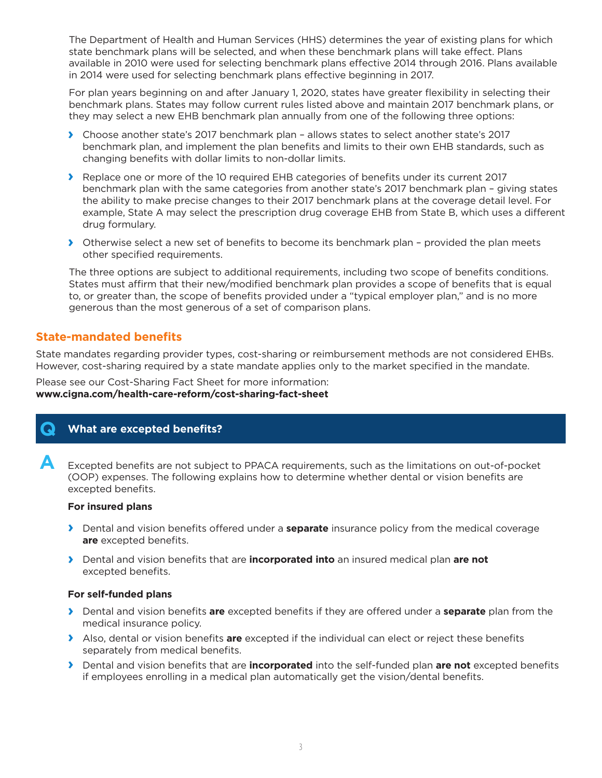The Department of Health and Human Services (HHS) determines the year of existing plans for which state benchmark plans will be selected, and when these benchmark plans will take effect. Plans available in 2010 were used for selecting benchmark plans effective 2014 through 2016. Plans available in 2014 were used for selecting benchmark plans effective beginning in 2017.

 For plan years beginning on and after January 1, 2020, states have greater flexibility in selecting their benchmark plans. States may follow current rules listed above and maintain 2017 benchmark plans, or they may select a new EHB benchmark plan annually from one of the following three options:

- **›** Choose another state's 2017 benchmark plan allows states to select another state's 2017 benchmark plan, and implement the plan benefits and limits to their own EHB standards, such as changing benefits with dollar limits to non-dollar limits.
- **›** Replace one or more of the 10 required EHB categories of benefits under its current 2017 benchmark plan with the same categories from another state's 2017 benchmark plan – giving states the ability to make precise changes to their 2017 benchmark plans at the coverage detail level. For example, State A may select the prescription drug coverage EHB from State B, which uses a different drug formulary.
- **›** Otherwise select a new set of benefits to become its benchmark plan provided the plan meets other specified requirements.

 The three options are subject to additional requirements, including two scope of benefits conditions. States must affirm that their new/modified benchmark plan provides a scope of benefits that is equal to, or greater than, the scope of benefits provided under a "typical employer plan," and is no more generous than the most generous of a set of comparison plans.

# **State-mandated benefits**

State mandates regarding provider types, cost-sharing or reimbursement methods are not considered EHBs. However, cost-sharing required by a state mandate applies only to the market specified in the mandate.

Please see our Cost-Sharing Fact Sheet for more information: **www.cigna.com/health-care-reform/cost-sharing-fact-sheet**

# **Q What are excepted benefits?**

**A** Excepted benefits are not subject to PPACA requirements, such as the limitations on out-of-pocket (OOP) expenses. The following explains how to determine whether dental or vision benefits are excepted benefits.

#### **For insured plans**

- **›** Dental and vision benefits offered under a **separate** insurance policy from the medical coverage **are** excepted benefits.
- **›** Dental and vision benefits that are **incorporated into** an insured medical plan **are not** excepted benefits.

#### **For self-funded plans**

- **›** Dental and vision benefits **are** excepted benefits if they are offered under a **separate** plan from the medical insurance policy.
- **›** Also, dental or vision benefits **are** excepted if the individual can elect or reject these benefits separately from medical benefits.
- **›** Dental and vision benefits that are **incorporated** into the self-funded plan **are not** excepted benefits if employees enrolling in a medical plan automatically get the vision/dental benefits.